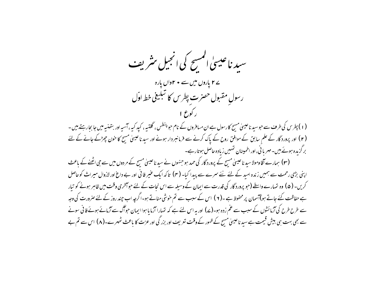سید ناعیسیٰ المسح کی انجیل مثر یف ے **۲** یاروں میں سے • ۲واں یارہ رسول مقبول حصرت پطرس کا تبلیغی خط اوّل (۱) پطرس کی طرف سے حبوسید ناعیسیٰ مسح کارسول ہے ان مسافروں کے نام حبو پنطس ، گلتسہ ، کید کیہ ، آسیہ اور بتھنسہ میں جا بحارہتے ہیں ۔ (۲) اور پرورد گار کے علم سابق کے موافق روح کے پاک کرنے سے فرمانسردار ہونے اور سید ناعیسیٰ مسح کا خون چھڑکے جانے کے لئے بر گزیدہ ہوئے بیں۔مہر یا ٹی، اور اطمینان تہییں زیادہ حاصل ہوتارہے۔ (۳) ہمارے آقا ومولا سید ناعیسیٰ مسیح کے پرورد گار کی حمد ہو جنہوں نے سید ناعیسیٰ مسیح کے مر دوں میں سے جی اٹھنے کے باعث اپنی بڑی رحمت سے ہمیں زندہ اسد کے لئے نئے سرے سے پیدا کیا۔ (۴) تاکہ ایک عنیر فانی اور بے داع اور لازوال میراث کوحاصل کریں۔ ( ۵ ) وہ تہارے واسطے (جو پرورد گار کی قدرت سے ایمان کے وسیلہ سے اس نجات کے لئے حواسخری وقت میں ظاہر ہونے کو تیار ہے حفاظت کئے جاتے ہو)آسمان پر محفوظ ہے ۔( ۲ ) اس کے سبب سے تم خوشی مناتے ہو۔اگرچہ اب چند روز کے لئے صرورت کی وجہ سے طرح طرح کی آزمائشوں کے سبب سے عم زدہ ہو۔(ے) اور ہہ اس لئے ہے کہ تہارا آزما ما ہوا ایمان حواگ سے آزمائے ہوئے فانی سونے سے بھی بہت ہی بیش قیمت ہے سید ناعیسیٰ مسح کے ظہور کے وقت تعریف اور بزر گی اور عزت کا باعث ٹھہرے۔(۸) اس سے تم بے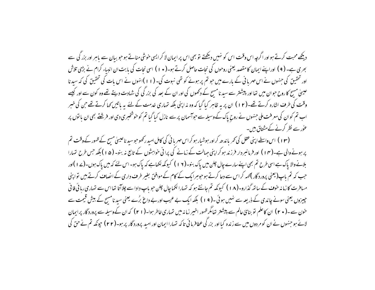دیکھے محبت کرتے ہواور اگرچہ اس وقت اس کو نہیں دیکھتے تو بھی اس پر ایمان لا کر ایسی خوشی مناتے ہوجو بیان سے پاہر اور بزر کی سے بھری ہے۔ ( ۹ ) اوراپنے ایمان کامقصد یعنی روحوں کی نجات حاصل کرتے ہو۔( • ۱ ) اسی نجات کی بابت ان انبیاء کرام نے بڑی تلاش اور تحقیق کی جنہوں نے اس مہر یا ٹی کے بارے میں حو تم پر ہونے کو تھی نبوت کی۔ (۱۱)انہوں نے اس بات کی تحقیق کی کہ سید نا عیسیٰ مسح کاروح حبوان میں تھا اور پیشنتر سے سید نامسح کے دکھوں کی اور ان کے بعد کی بزر گی کی شہادت دیتے تھے وہ کون سے اور کیہے وقت کی طرف اشارہ کرتے تھے۔(۱۲) ان پر یہ ظاہر کیا گیا کہ وہ نہ اپنی بلکہ تہاری خدمت کے لئے یہ پاتیں کہا کرتے تھے حن کی خبر اب تم کوان کی معرفت ملی جنہوں نے روح پاک کے وسیلہ سے حواسمان پر سے نازل کیا گیا تم کو خوشخبری دی اور فرشتے بھی ان یا توں پر عور سے نظر کرنے کے مشتاق بیں۔

(۱۳) اس واسطے اپنی عقل کی تھر یا ندھ کراور ہوشیار ہو کراس مہر یا فی کی کامل امید رکھو حبوسید ناعیسیٰ مسح کے ظہور کے وقت تم پر ہونے والی ہے۔(۱۴) اور فرمانسر دار فرزند ہو کر اپنی حہالت کے زمانے کی پرانی خواہشوں کے تابع نہ بنو۔ (۵۱) بلکہ جس طرح تمہارا بلانے والا پاک ہے اسی طرح تم بھی اپنے سارے چال چلن میں پاک بنو۔(۱۲) کیونکہ لکھاہے کہ پاک ہو۔اس لئے کہ میں پاک ہوں۔(۲۷)اور جب کہ تم ماپ(یعنی پرورد گار )<sub>گ</sub>ہہ کراس سے دعا کرتے ہو حبوسرایک کے کام کے موافق بغیر طرف داری کے انصاف کرتے ہیں تواپنی میافرت کا زمانہ خوف کے ساتھ گذارو۔(۱۸) کیونکہ تم جانتے ہو کہ تہارا نکما چال چلن حویاپ داداسے چلاآتا تھا اس سے تہاری ربائی فافی چیزوں یعنی سونے چاندی کے ذریعہ سے نہیں ہوئی۔( ۱۹ ) بلکہ ایک بے عیب اور بے داغ بُرے یعنی سید نامسح کے بیش قیمت سے خون سے۔( • ٢) ان کاعلم تو بنائ عالم سے پیشتر تھامگر ظہور اخیبر زمانہ میں تہاری خاطر ہوا۔( ٢ ٢ ) کہ ان کےوسیلہ سے پرورد گار پرایمان لائے ہو جنہوں نے ان کو مر دوں میں سے زندہ کیا اور بزر کی عطافرمائی تاکہ تہارا ایمان اور اسید پرورد گار پر ہو۔(۲۲) جونکہ تم نے حق کی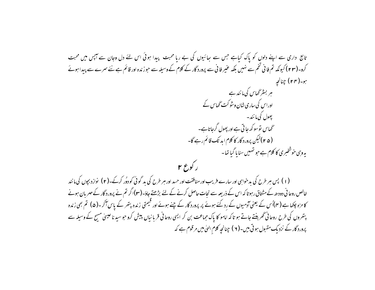## تابع داری سے اپنے دلوں کو پاک کباہے جس سے ہعائیوں کی بے رہا محبت پیدا ہوئی اس لئے دل وجان سے آپس میں محبت کرو۔(۲۳) کیونکہ تم فائی تخم سے نہیں بلکہ عنیر فائی سے پرورد گار کے کلام کے وسیلہ سے حوز ندہ اور قائم ہے نئے سرے سے پیدا ہوئے ہو۔( ۲۴ ) چنانچہ ہر بسٹر گھاس کی مانند ہے اوراس کی ساری شان وشو کت گھاس کے پھول کی مانند۔ گھاس نوسو کھ جاتی ہے اور پھول گرجاتاہے۔ ( ۲۵ ) کیکن پرورد گار کا کلام اید تک قائم رہے گا۔

یہ وہی خوشخبری کا کلام ہے جو تہہیں سنا یا گیا تھا۔

(۱) پس ہر طرح کی بدخواہی اور سارے فریب اور منافقت اور حسد اور ہر طرح کی بد گوئی کو دوُر کرکے۔(۲) نوازدبجوں کی مانند خالص روحا فی دودھ کے مشتاق رہو تا کہ اس کے ذریعہ سے نحات حاصل کرنے کے لئے بڑھتے جاؤ۔(۳)اگر تم نے پرورد گار کے مہر بان ہونے کا مزہ چکھا ہے (۴)اُس کے یعنی آدمیوں کے رد کئے ہوئے پر پرورد گار کے چنے ہوئے اور قیمتی زندہ پتھر کے پاس آکر ۔(۵) تم بھی زندہ پتھروں کی طرح روحانی ٹھربنتے جاتے ہو تاکہ امامو کا پاک حماعت بن کر ایسی روحانی قربانیاں پیش کرو حوسید ناعیسیٰ مسج کے وسیلہ سے پرورد گار کے نزدیک مقبول ہو تی بیں۔( ۲ ) چنانچہ کلام الہیٰ میں مرقوم ہے کہ

ر کوع ۲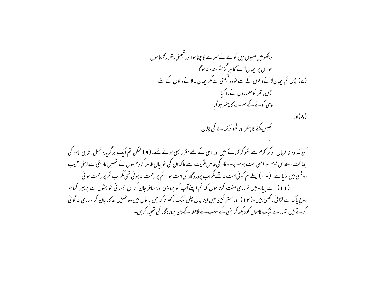دیکھومیں صبیون میں کونے کے سمرے کا جناموااور قیمتی یتھر رکھتاموں حواس پرایمان لائے گاہر گزنٹرمندہ نہ ہوگا (ے) پس تم ایمان لانےوالوں کے لئے تووہ قیمتی ہےمگرایمان نہ لانےوالوں کے لئے جس پتھر کومعماروں نےرد کیا وہی کونے کے سمرے کا پتھر ہوگیا  $\lambda$ اور) ۔<br>سمیس لگنے کا پتھر اور سُحو کر کھانے کی جٹان کیونکہ وہ نا فرمان ہو کر کلام سے ٹھوکر کھاتے ہیں اور اسی کے لئے مقرر بھی ہوئے تھے۔( ۹ ) لیکن تم ایک برگزیدہ نسل، شاہی امامو کی حماعت ، مقدُس قوم اور ایسی امت ہو حو پرورد گار کی خاص مکیت ہے تا کہ ان کی خوبیاں ظاہر کروجنہوں نے نہیں تاریکی سے اپنی عجیب روشنی میں بلایا ہے۔ ( • ۱ ) پہلے تم کوئی امت نہ تھےمگراب پرورد گار کی امت ہو۔ تم پررحمت نہ ہوئی تھی مگراب تم پررحمت ہوئی۔ (۱۱) اسے پیارومیں تہاری منت کرتا ہوں کہ تم اپنےآپ کو پردیسی اورمیافر جان کر ان حسمانی خواہشوں سے پرہیز کروجو روح پاک سے لڑا ئی رکھتی ہیں۔(۱۲) اور مشر کین میں اپنا چال جلن نبک رکھو تاکہ حن یا نوں میں وہ تہمیں بد کارجان کر تہاری بد گوئی کرتے ہیں تہارے نیک کاموں کو دیکھ کرانہی کے سبب سے ملاحظہ کے دن پرورد گار کی تمجید کریں۔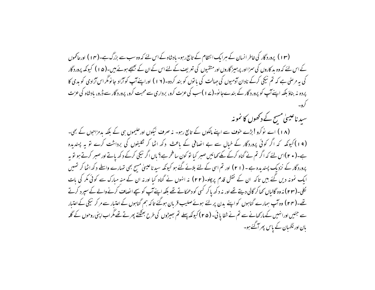(۱۳) پرورد گار کی خاطر انسان کے ہرایک انتظام کے تابع رہو۔ بادشاہ کے اس لئے کہ وہ سب سے بزرگ ہے۔(۱۴) اورحائموں کے اس لئے کہ وہ ید کاروں کی سمزااور پر ہیپز گاروں اور متقیوں کی تعریف کے لئے اس کے ان کے بھیجے ہوئے بیں۔(ھ ۱ ) کیونکہ پرورد گار کی بہ مرصٰی ہے کہ تم نیکی کرکے نادان آدمیوں کی حہالت کی با توں کو بند کردو۔(١٧) اوراپنے آپ کو آزاد جا نومگر اس آزادى کو بدى كا پردہ نہ بناؤ بلکہ اپنےآپ کو پرورد گار کے بندےجا نو۔(ے ا )سب کی عزت کرو، برداری سے محبت کرو، پرورد گار سے ڈرو، مادشاہ کی عزت

سید ناعیسیٰ مسح کے دکھوں کا نمونہ

(۱۸) اسے نوکرو !بڑے خوف سے اپنے مالکوں کے تابع رہو۔ نہ صرف نیکوں اور حکیموں ہی کے بلکہ بدمزاحوں کے بھی۔ (۱۹) کیونکہ کہ اگر کوئی پروردگار کے خیال سے بے انصافی کے باعث دکھ اٹھا کر نکلیفوں کی برداشت کرے تو بہ پسندیدہ ہے۔( • ۲)اس لئے کہ اگر تم نے گناہ کرکے مکے <sub>کھا</sub>ئیں صبر کیا تو کون سا فخر ہے؟ <sub>با</sub>ں اگر نیکی کرکے دکھ یاتے اور صبر کرتے ہو تو ہہ پرورد گار کے نزدیک پسندیدہ ہے ۔ ( ۲۱ ) اور تم اسی کے لئے بلائے گئے ہو کیونکہ سید ناعیسیٰ مسح بھی تہارے واسطے د کھ اٹھا کر تہییں ایک نمونہ دیں گئے ہیں تاکہ ان کے نقش قدم پرچلو۔(۲۲) نہ انہوں نے گناہ کیا اورنہ ان کے منہ مبارک سے کوئی مکر کی بات ئکلی۔(۲۳) نہ وہ گالیاں کھاکر گالی دیتے تھے اور نہ د کھ پاکر کسی کو دھمکاتے تھے بلکہ اپنےآپ کو سچےالصاف کرنے والے کے سپرد کرتے تھے۔(۲۴) وہ آپ ہمارے گناہوں کواپنے بدن پر لئے ہوئےصلیب قربان ہوگئے تاکہ ہم گناہوں کےاعتبار سے مرکر نیکی کےاعتبار سے جئیں اورانہیں کے مارکھانے سے تم نے شفا یا ئی۔ ( ۴ a ) کیونکہ پہلے تم ہیپڑوں کی طرح بھٹکتے پھر تے تھے مگر اب اپنی روحوں کے گلہ بان اور نگهان کے پاس پھر آگئے ہو۔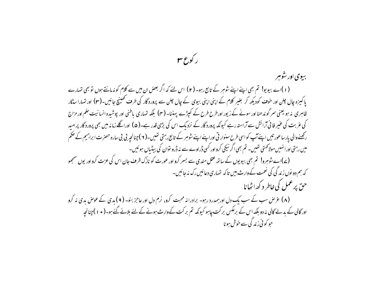ر کوع س بیوی اور شوہر (۱)اے بیویو! تم بھی اپنے اپنے شوہر کے تابع رہو۔ (۲) اس لئے کہ اگر بعض ان میں سے کلام کو نہ مانتے ہوں تو بھی تمہارے یا کمیزہ جال چلن اور خوف کودیکھ کر بغیر کلام کے اپنی اپنی بیوی کے جال چلن سے پرورد گار کی طرف ٹھینیج جائیں۔(۳) اور تہارا سڈگار ظاہری نہ ہو یعنی سر گوندھنا اور سونے کے زیور اورطرح طرح کے کپڑے پہننا۔ (۴) بلکہ تہاری پاطنی اور پوشیدہ انسانیت حلم اور مزاج کی عربت کی عنیر فانی آرائش سے آراستہ رہے کیونکہ پرورد گار کے نزدیک اس کی بڑی قدر ہے۔( ۵ ) اوراگلے زمانہ میں بھی پرورد گار پرامید رکھنے والی پارساعور تیں اپنے آپ کواسی طرح سنوار تی اوراپنے اپنے شوہر کے تابع رہتی تھیں۔( ۲ )چنانچہ بی بی سارہ حصرت ابراہیم کے صکم میں رہتی اورا نہیں مولاحمتی تھیں۔ تم بھی اگر نیکی کرواور کسی ڈراوے سے نہ ڈرو توان کی بیٹیاں ہوئیں۔ (ے)اے سوسرو! تم بھی بیویوں کے ساتھ عقل مندی سے بسر کرو اور عورت کو نازک ظرف جان اس کی عزت کرو اور یوں سمجھو کہ ہم دو نوں زند گی کی نعمت کے وارث بیں تا کہ تہاری دعائیں رک نہ جائیں۔ حق پرعمل کی خاطر د کھہ اٹھانا (۸) عرض سب کے سب یک دل اور ہمدرد رہو۔ برادرانہ محبت کرو، نرم دل اور عاجز بنو۔ (۹) بدی کے عوص بدی نہ کرو اور گالی کے بدلے گالی نہ دو بلکہ اس کے برعکس بر کت چاہو کیونکہ تم بر کت کے وارث ہونے کے لئے بلائے گئے ہو۔( • ۱ )چنانچہ حو کوئی زند گی سے خوش ہونا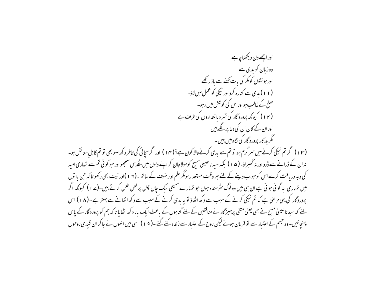اور اچھے دن دیکھناچاہے وہ زبان کو بدی سے اور ہونٹوں کومکر کی بات کھنے سے باز رکھے (۱۱) بدی سے کنارہ کرواور نیکی کو عمل میں لاؤ۔ صلح کے طالب ہواوراس کی کوشش میں رہو۔ (۱۲) کیونکہ پرورد گار کی نظر دیانتداروں کی طرف ہے اور ان کے کان ان کی دعا پر لگے بیں گگر بد کار پرورد گار کی نگاہ میں بین ۔ (۱۳) اگر تم نیکی کرنے میں سر گرم ہو تو تم سے بدی کرنےوالا کون ہے؟(۱۴) اور اگر سچائی کی خاطر دکھ سہو بھی تو تم قابلِ ستائش ہو۔ نہ ان کے ڈرانے سے ڈرواور نہ ٹھسراؤ۔( ۵ ا ) بلکہ سید ناعیسیٰ مسح کومولاجان کر اپنے دلوں میں مٹھُد س سمجھواور حبو کوئی تم سے نتہاری امید کی وجہ دریافت کرے اس کو حواب دینے کے لئے مبر وقت مستعد رہومگر حلم اور حوف کے ساتھ -(١٧ )اور نیت بھی رکھو تا کہ حن با نوں میں تہاری ید گوئی ہوتی ہے ان ہی میں وہ لوگ سثرمندہ ہوں حو تہارے مسیحی نیک چال چلن پر لعن طعن کرتے ہیں۔(ے ا ) کيونكه اگر پرورد گار کی یہی مرحنی ہے کہ تم نیکی کرنے کے سبب سے د کھ اٹھاؤ تو یہ بدی کرنے کے سبب سے د کھ اٹھانے سے بہتر ہے۔(۱۸) اس یئے کہ سید ناعیسیٰ مسیح نے بھی یعنی متقی پرہمیز گار نے منافقین کے لئے گناہوں کے ماعث ایک بار دکھ اٹھا ما تا کہ ہم کو پرورد گار کے پاس پہنچائیں۔ وہ جسم کے اعتبار سے نو قربان ہوئے لیکن روح کے اعتبار سے زندہ کئے گئے ۔( ۱۹) اسی میں انہوں نے جا کر ان قبیدی روحوں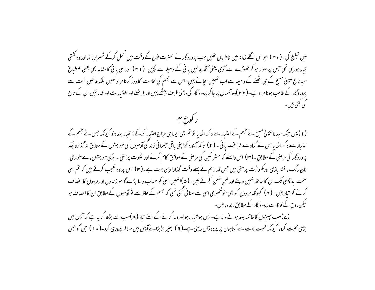میں تبلیغ کی۔( • ۲ ) حبواس اگلے زمانہ میں نافرمان تھیں جب پرورد گار نے حصرت نوح کے وقت میں تحمل کرکے ٹھہرارہا تھااور وہ کشتی تیار ہورہی تھی جس پر سوار ہو کر تھوڑے سے آدمی یعنی آٹھ جانیں یا فی کے وسیلہ سے بچیں۔( ۲۱ ) اوراسی یا نی کامشابہ بھی یعنی اصطباغ سید ناع عیسیٰ مسح کے حی اٹھنے کے وسیلہ سے اب تہیں بجاتے ہیں۔اس سے جسم کی نجاست کا دورُ کرنا مراد نہیں بلکہ خالص نبت سے پرورد گار کے طالب ہو نامراد ہے۔( ۲ ۲ )وہ آسمان پر جا کر پرورد گار کی دہنی طرف بیٹھے،میں اور فرشتے اور اغتیارات اور قدر تیں ان کے تابع كى كىئى بىن –

ر کورع مہ

(۱) پس جبکہ سید ناعیسیٰ مسح نے جسم کے اعتیار سے د کھ اٹھایا تو تم بھی ایسا ہی مزاج اختیار کرکے ہتھیار بند بنو کیونکہ جس نے جسم کے اعتیار سے دکھ اٹھایا اس نے گناہ سے فراعت یائی ۔ ( ۲ ) تاکہ آئندہ کواپنی یاقی حسمانی زند گی آدمیوں کی خواہشوں کےمطابق نہ گذارو بلکہ پرورد گار کی مرضی کے مطابق -(۳) اس واسطے کہ مسٹر کین کی مرضی کے موافق کام کرنے اور شہوت پرستی - برُمی خواہشوں، مے خواری، ناچ رنگ ، نشہ بازی اورمکرو بُت پرستی میں حس قد رہم نے پہلے وقت گذارا وہی بہت ہے۔(سہ) اس پر وہ تعجب کرتے ہیں کہ تم اسی سخت پد چلنی تک ان کا ساتھ نہیں دیتے اور لعن طعن کرتے ہیں۔( ۵)انہیں اسی کو حساب دینا پڑے گا حو زندوں او رمر دوں کا انصاف کرنے کو تیار بیں ۔( ۲ ) کیونکہ مر دوں کو بھی خوشخبری اسی لئے سنا ئی گئی تھی کہ جسم کے لحاظ سے لوآدمیوں کےمطابق ان کا انصاف ہو لیکن روح کے لحاظ سے پرورد گار کے مطابق زندہ رہیں۔

(ے)سب جیپزوں کا خاتمہ جلد ہونے والاہے۔ پس ہوشیار رہو اور دعا کرنے کے لئے تیار (۸)سب سے بڑھ کر یہ ہے کہ آپس میں بڑی محبت کرو، کیونکہ محبت بہت سے گناہوں پر پردہ ڈال دیتی ہے۔( ۹ ) بغیر بڑبڑائے آپس میں مسافر پروری کرو۔( • ۱ ) حن کو حس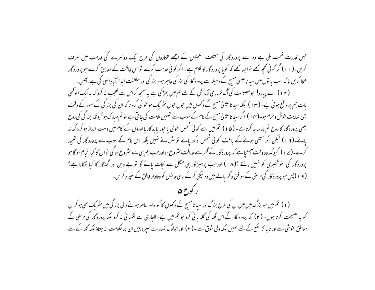جس قدرت نعمت ملی ہے وہ اسے پرورد گار کی مختلف لنعمتوں کے اچھے مختاروں کی طرح ایک دوسرے کی خدمت میں صرف کریں۔(۱۱)اگر کوئی تحییہ تھے تواپسا تھے کہ گوبا پرورد گار کا کلام ہے۔اگر کوئی خدمت کرے تواس طاقت کے مطابق کرے جو پرورد گار عطا کریں تاکہ سب ما نوں میں سید ناعیسیٰ مسح کےوسیلہ سے پرورد گار کی بزر گی ظاہر ہو۔ بزر گی اور سلطنت ا بدالاآباد انهی کی ہے۔آئین۔ (۱۲) اے پیارو! حومصیبت کی آگ تہاری آزمائش کے لئے تم میں بھڑ کی ہے یہ سمجھ کراس سے تعجب نہ کرو کہ یہ ایک انونھی بات ہم پرواقع ہوئی ہے۔ (۱۳) بلکہ سید ناعیسیٰ مسح کے دکھوں میں حوں حوں سثر یک ہو خوشی کرو تاکہ ان کی بزر گی کے ظہور کے وقت بھی نہایت خوش وخرم ہو۔( ۱۴ ) اگر سید ناعیسیٰ مسیح کے نام کے سبب سے تہیں ملامت کی جاتی ہے تو تم مبارک ہو کیونکہ بزر گی کی روح یعنی پرورد گار کا روح تم پر سا ہہ کرتاہے۔ (۵۱) تم میں سے کوئی شخص حوفی یا جور پابد کاریا اوروں کے کام میں دست انداز ہوکر دکھ نہ یائے۔(۱۲) لیکن اگر مسیحی ہونے کے باعث کوئی شخص دکھ یائے تو نثرمائے نہیں بلکہ اس نام کے سبب سے پروردگار کی تمجید کرے۔(ے ۱ ) کیونکہ وہ وقت آپہنچا ہے کہ پرورد گار کے گھر سے عدالت سثروع ہواور حب ہم ہی سے سثروع ہو گی نوان کا کباانجام ہو گا حو پرورد گار کی حوشخبری کو نہیں مانتے ؟(۱۸) اورجب پرہیز گار ہی مشکل سے نحات پائے گا تو بے دین اور گنہگار کا کیا ٹھکانا ہے؟ (۹۱) پس حبو پرورد گار کی مرصٰی کے موافق د کھ پاتے ہیں وہ نیکی کرکے اپنی جانوں کووفادار خالق کے سپر د کریں۔

ر کورع ۵

(۱) تم میں حو بزرگ ہیں میں ان کی طرح بزرگ اور سید نامسح کے دکھوں کا گواہ اور ظاہر ہونے والی بزر گی میں سٹریک بھی ہو کران کو یہ نصیحت کرتا ہوں۔ (۲) کہ پرورد گار کے اس گلہ کی گلہ بانی کروجو تم میں ہے۔لاچاری سے نگہانی نہ کرو بلکہ پرورد گار کی مرضی کے موافق خوشی سے اور ناجائز نفع کے لئے نہیں بلکہ دلی شوق سے ۔(۳) اورحبولوگ تہارے سپر دبیں ان پر حکومت نہ جتاؤ بلکہ گلہ کے لئے